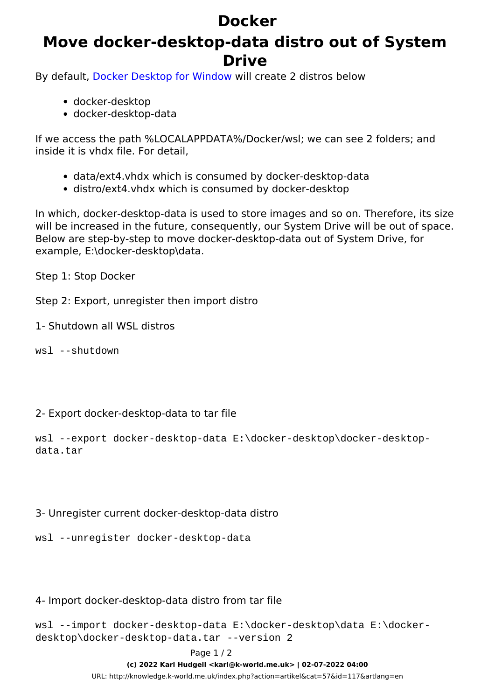## **Docker**

### **Move docker-desktop-data distro out of System Drive**

By default, [Docker Desktop for Window](https://hub.docker.com/editions/community/docker-ce-desktop-windows) will create 2 distros below

- docker-desktop
- docker-desktop-data

If we access the path %LOCALAPPDATA%/Docker/wsl; we can see 2 folders; and inside it is vhdx file. For detail,

- data/ext4.vhdx which is consumed by docker-desktop-data
- distro/ext4.vhdx which is consumed by docker-desktop

In which, docker-desktop-data is used to store images and so on. Therefore, its size will be increased in the future, consequently, our System Drive will be out of space. Below are step-by-step to move docker-desktop-data out of System Drive, for example, E:\docker-desktop\data.

Step 1: Stop Docker

Step 2: Export, unregister then import distro

1- Shutdown all WSL distros

wsl --shutdown

#### 2- Export docker-desktop-data to tar file

wsl --export docker-desktop-data E:\docker-desktop\docker-desktopdata.tar

#### 3- Unregister current docker-desktop-data distro

wsl --unregister docker-desktop-data

#### 4- Import docker-desktop-data distro from tar file

wsl --import docker-desktop-data E:\docker-desktop\data E:\dockerdesktop\docker-desktop-data.tar --version 2

Page 1 / 2

**(c) 2022 Karl Hudgell <karl@k-world.me.uk> | 02-07-2022 04:00**

[URL: http://knowledge.k-world.me.uk/index.php?action=artikel&cat=57&id=117&artlang=en](http://knowledge.k-world.me.uk/index.php?action=artikel&cat=57&id=117&artlang=en)